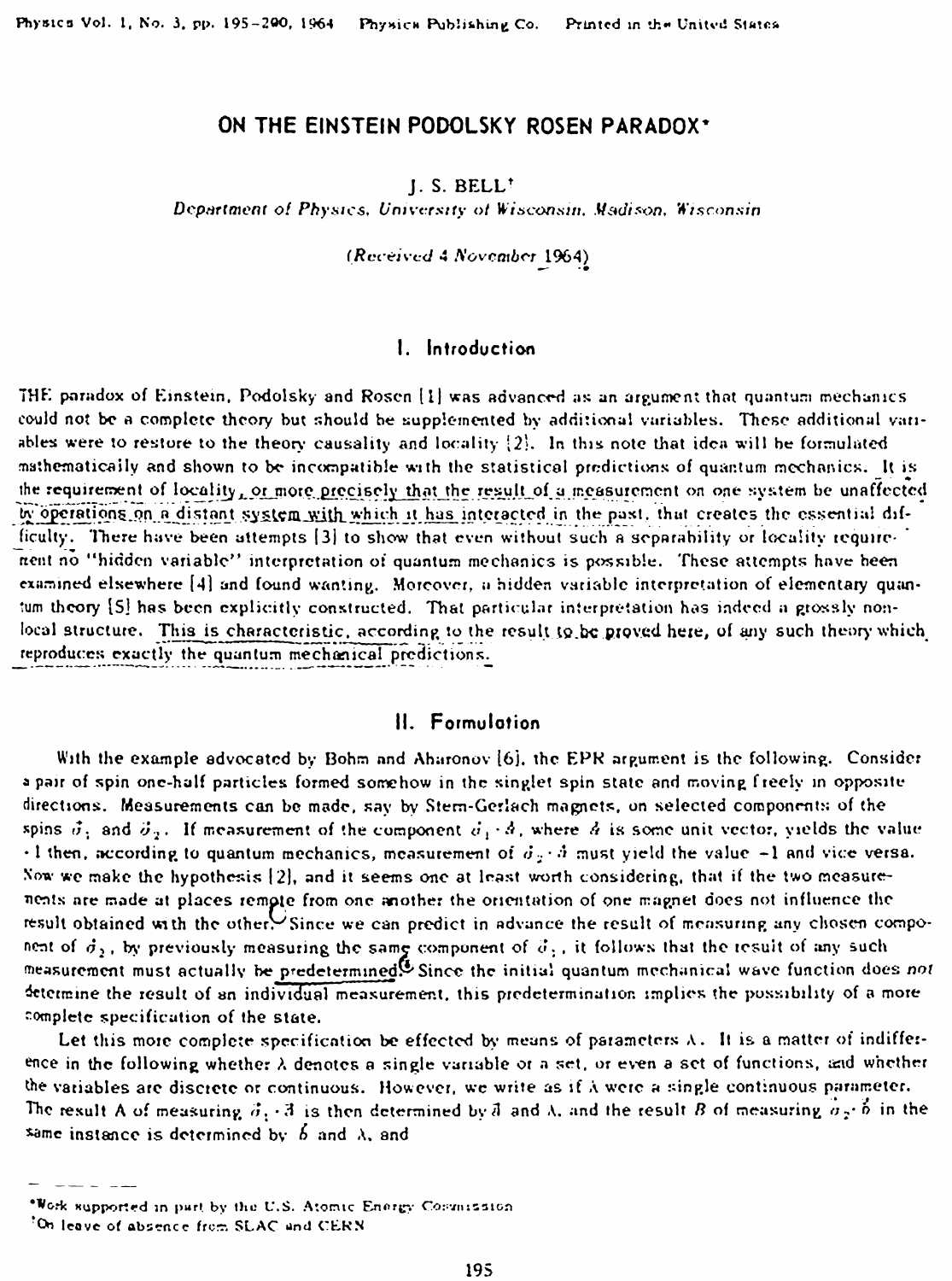# ON THE EINSTEIN PODOLSKY ROSEN PARADOX\*

### I. S. BELL'

Department of Physics, University of Wisconsin, Madison, Wisconsin

(Received 4 November 1964)

#### 1. Introduction

THE paradox of Einstein, Podolsky and Rosen [1] was advanced as an argument that quantum mechanics could not be a complete theory but should be supplemented by additional variables. These additional variables were to restore to the theory causality and locality  $\{2\}$ . In this note that idea will be formulated mathematically and shown to be incompatible with the statistical predictions of quantum mechanics. It is the requirement of locality, or more precisely that the result of a measurement on one system be unaffected by operations on a distant system with which it has interacted in the past, that creates the essential difficulty. There have been attempts [3] to show that even without such a separability or locality requirenent no "hidden variable" interpretation of quantum mechanics is possible. These attempts have been examined elsewhere [4] and found wanting. Moreover, a hidden variable interpretation of elementary quantum theory [5] has been explicitly constructed. That particular interpretation has indeed a grossly nonlocal structure. This is characteristic, according to the result to be proved here, of any such theory which reproduces exactly the quantum mechanical predictions.

#### II. Formulation

With the example advocated by Bohm and Aharonov [6], the EPR argument is the following. Consider a pair of spin one-half particles formed somehow in the singlet spin state and moving freely in opposite directions. Measurements can be made, say by Stern-Gerlach magnets, on selected components of the spins  $\vec{\sigma}_1$  and  $\vec{\sigma}_2$ . If measurement of the component  $\vec{\sigma}_1 \cdot \vec{\sigma}_2$ , where  $\vec{\sigma}_1$  is some unit vector, yields the value  $+1$  then, according to quantum mechanics, measurement of  $d_x + \delta$  must yield the value  $+1$  and vice versa. Now we make the hypothesis  $\{2\}$ , and it seems one at least worth considering, that if the two measurenents are made at places rempte from one another the orientation of one magnet does not influence the result obtained with the other. Since we can predict in advance the result of measuring any chosen component of  $d_2$ , by previously measuring the same component of  $d_1$ , it follows that the result of any such measurement must actually be predetermined. Since the initial quantum mechanical wave function does not determine the result of an individual measurement, this predetermination implies the possibility of a more complete specification of the state.

Let this more complete specification be effected by means of parameters  $\lambda$ . It is a matter of indifference in the following whether  $\lambda$  denotes a single variable or a set, or even a set of functions, and whether the variables are discrete or continuous. However, we write as if  $\lambda$  were a single continuous parameter. The result A of measuring  $\vec{\sigma}_3$  of is then determined by  $\vec{a}$  and A, and the result B of measuring  $\vec{\sigma}_2$  of in the same instance is determined by  $\vec{b}$  and  $\lambda$ , and

<sup>\*</sup>Work supported in part by the U.S. Atomic Energy Cosmission

On leave of absence from SLAC and CERN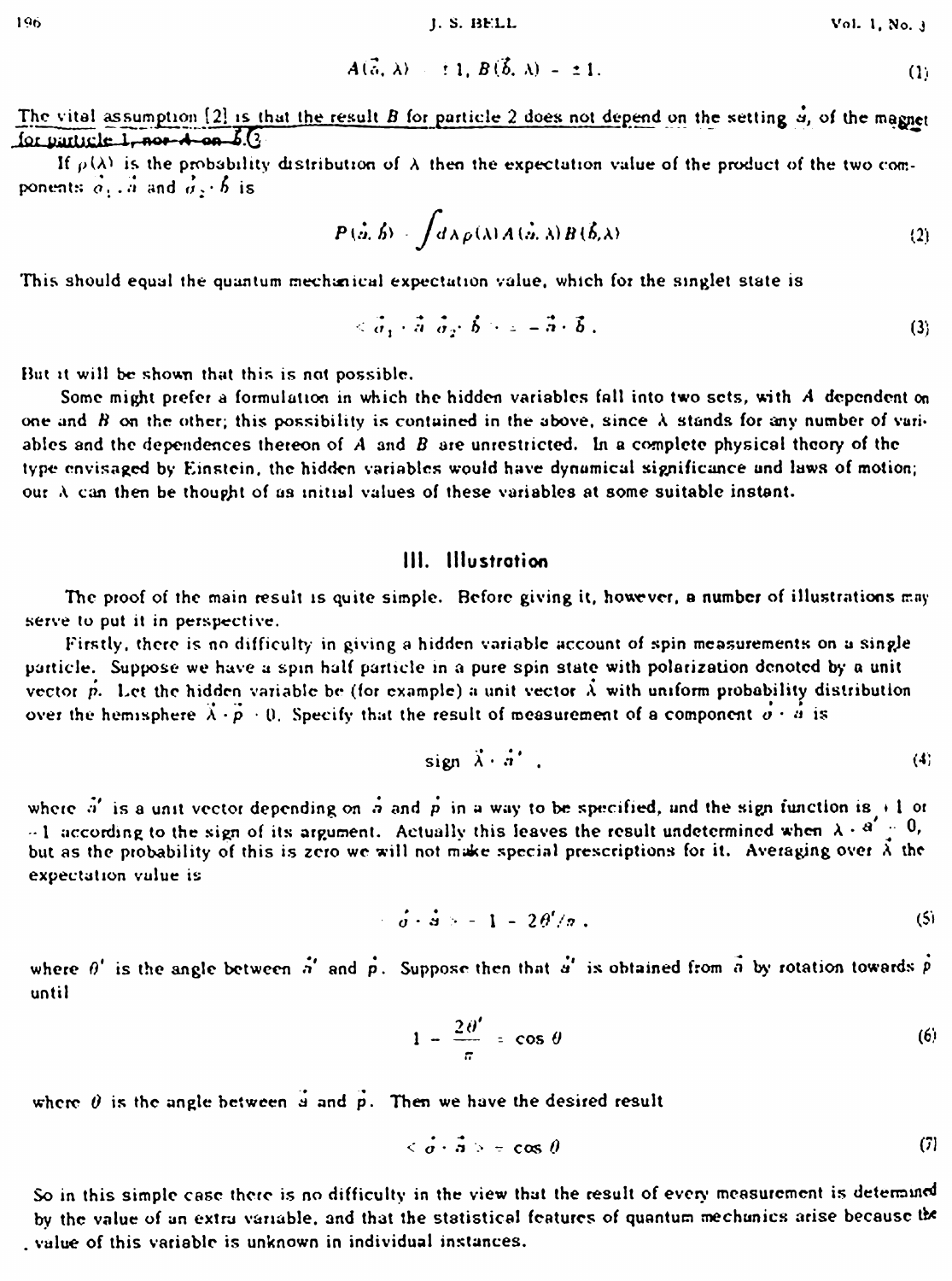$$
A(\delta,\lambda) = \pm 1, B(\delta,\lambda) = \pm 1. \tag{1}
$$

The vital assumption  $[2]$  is that the result B for particle 2 does not depend on the setting  $\dot{a}$ , of the magnet for purise  $1$ , not  $A$  on  $\overline{b}$ .

If  $\rho(\lambda)$  is the probability distribution of  $\lambda$  then the expectation value of the product of the two components  $\vec{a}_1$ ,  $\vec{a}_2$  and  $\vec{a}_3$ ,  $\vec{b}_3$  is

$$
P(\vec{a}, \vec{b}) = \int dA \rho(\lambda) A(\vec{a}, \lambda) B(\vec{b}, \lambda)
$$
 (2)

This should equal the quantum mechanical expectation value, which for the singlet state is

 $\langle \langle \vec{a}, \cdot \vec{a}, \vec{a}, \cdot \vec{b} \rangle \rangle$  =  $= \vec{a} \cdot \vec{b}$ .  $(3)$ 

But it will be shown that this is not possible.

Some might prefer a formulation in which the hidden variables fall into two sets, with A dependent on one and B on the other; this possibility is contained in the above, since  $\lambda$  stands for any number of variables and the dependences thereon of  $A$  and  $B$  are unrestricted. In a complete physical theory of the type envisaged by Einstein, the hidden variables would have dynamical significance and laws of motion; our  $\lambda$  can then be thought of as initial values of these variables at some suitable instant.

### III. Illustration

The proof of the main result is quite simple. Before giving it, however, a number of illustrations may serve to put it in perspective.

Firstly, there is no difficulty in giving a hidden variable account of spin measurements on a single particle. Suppose we have a spin half particle in a pure spin state with polarization denoted by a unit vector  $\vec{p}$ . Let the hidden variable be (for example) a unit vector  $\vec{\lambda}$  with uniform probability distribution over the hemisphere  $\vec{\lambda} \cdot \vec{p} = 0$ . Specify that the result of measurement of a component  $\vec{\sigma} \cdot \vec{a}$  is

$$
\text{sign } \lambda \cdot \hat{a}^{\prime} \tag{4}
$$

where  $\hat{a}'$  is a unit vector depending on  $\hat{a}$  and  $\hat{p}$  in a way to be specified, and the sign function is +1 or  $+1$  according to the sign of its argument. Actually this leaves the result undetermined when  $\lambda \cdot a' = 0$ , but as the probability of this is zero we will not make special prescriptions for it. Averaging over  $\vec{\lambda}$  the expectation value is

$$
\vec{\sigma} \cdot \vec{\sigma} = 1 - 2\theta'/\sigma \,. \tag{S}
$$

where  $\theta'$  is the angle between  $\hat{a}'$  and  $\hat{p}$ . Suppose then that  $\hat{a}'$  is obtained from  $\hat{a}$  by rotation towards  $\hat{p}$ until

$$
1 - \frac{2\theta'}{\pi} = \cos \theta \tag{6}
$$

where  $\theta$  is the angle between  $\ddot{a}$  and  $\ddot{p}$ . Then we have the desired result

$$
\langle \vec{\sigma} \cdot \vec{\sigma} \rangle = \cos \theta \tag{7}
$$

So in this simple case there is no difficulty in the view that the result of every measurement is determined by the value of an extra variable, and that the statistical features of quantum mechanics arise because the , value of this variable is unknown in individual instances.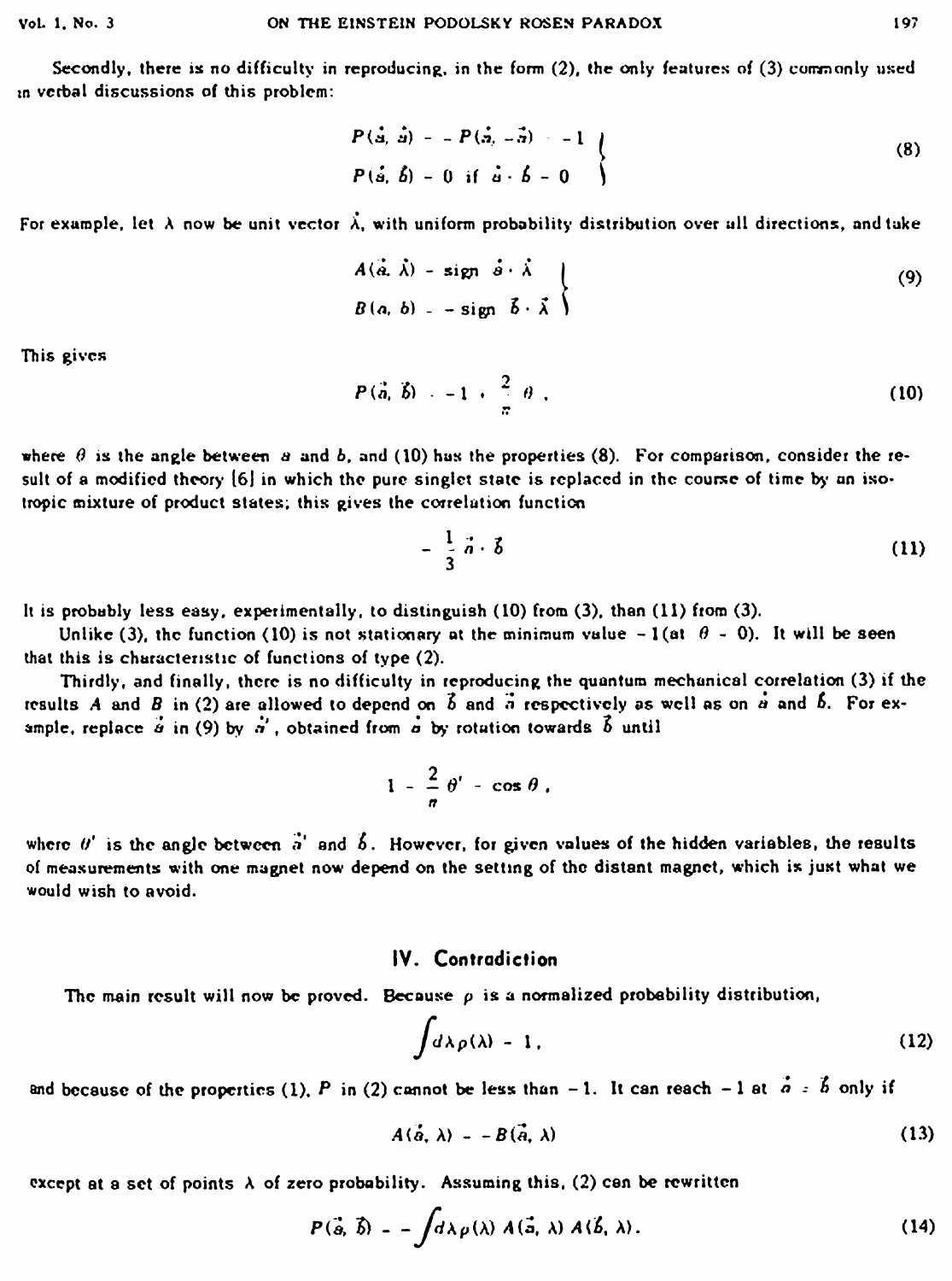$$
P(\vec{a}, \vec{a}) = -P(\vec{a}, -\vec{a}) = -1
$$
  
\n
$$
P(\vec{a}, \vec{b}) = 0 \text{ if } \vec{a} \cdot \vec{b} = 0
$$
 (8)

For example, let  $\lambda$  now be unit vector  $\hat{\lambda}$ , with uniform probability distribution over all directions, and take

$$
A(\vec{a}, \vec{\lambda}) - \text{sign} \ \vec{a} \cdot \vec{\lambda}
$$
  
\n
$$
B(a, b) = -\text{sign} \ \vec{b} \cdot \vec{\lambda}
$$
 (9)

This gives

$$
P(\vec{a}, \vec{b}) = -1 + \frac{2}{\pi} \theta \tag{10}
$$

where  $\theta$  is the angle between a and b, and (10) has the properties (8). For comparison, consider the result of a modified theory  $\{6\}$  in which the pure singlet state is replaced in the course of time by an isotropic mixture of product states; this gives the correlation function

$$
-\frac{1}{3}\vec{a}\cdot\vec{b} \tag{11}
$$

It is probably less easy, experimentally, to distinguish  $(10)$  from  $(3)$ , than  $(11)$  from  $(3)$ .

Unlike (3), the function (10) is not stationary at the minimum value  $-1$  (at  $\theta - 0$ ). It will be seen that this is characteristic of functions of type (2).

Thirdly, and finally, there is no difficulty in reproducing the quantum mechanical correlation (3) if the results A and B in (2) are allowed to depend on  $\vec{b}$  and  $\vec{a}$  respectively as well as on  $\vec{a}$  and  $\vec{b}$ . For example, replace  $\vec{a}$  in (9) by  $\vec{a}'$ , obtained from  $\vec{a}$  by rotation towards  $\vec{b}$  until

$$
1 - \frac{2}{n} \theta' - \cos \theta.
$$

where  $\theta'$  is the angle between  $\hat{a}'$  and  $\hat{b}$ . However, for given values of the hidden variables, the results of measurements with one magnet now depend on the setting of the distant magnet, which is just what we would wish to avoid.

### IV. Contradiction

The main result will now be proved. Because  $\rho$  is a normalized probability distribution,

$$
\int d\lambda \rho(\lambda) - 1. \tag{12}
$$

and because of the properties (1), P in (2) cannot be less than -1. It can reach -1 at  $\vec{a} = \vec{b}$  only if

$$
A(\tilde{a},\lambda) = -B(\tilde{a},\lambda) \tag{13}
$$

except at a set of points  $\lambda$  of zero probability. Assuming this, (2) can be rewritten

$$
P(\vec{s}, \vec{b}) = -\int d\lambda \rho(\lambda) A(\vec{s}, \lambda) A(\vec{b}, \lambda).
$$
 (14)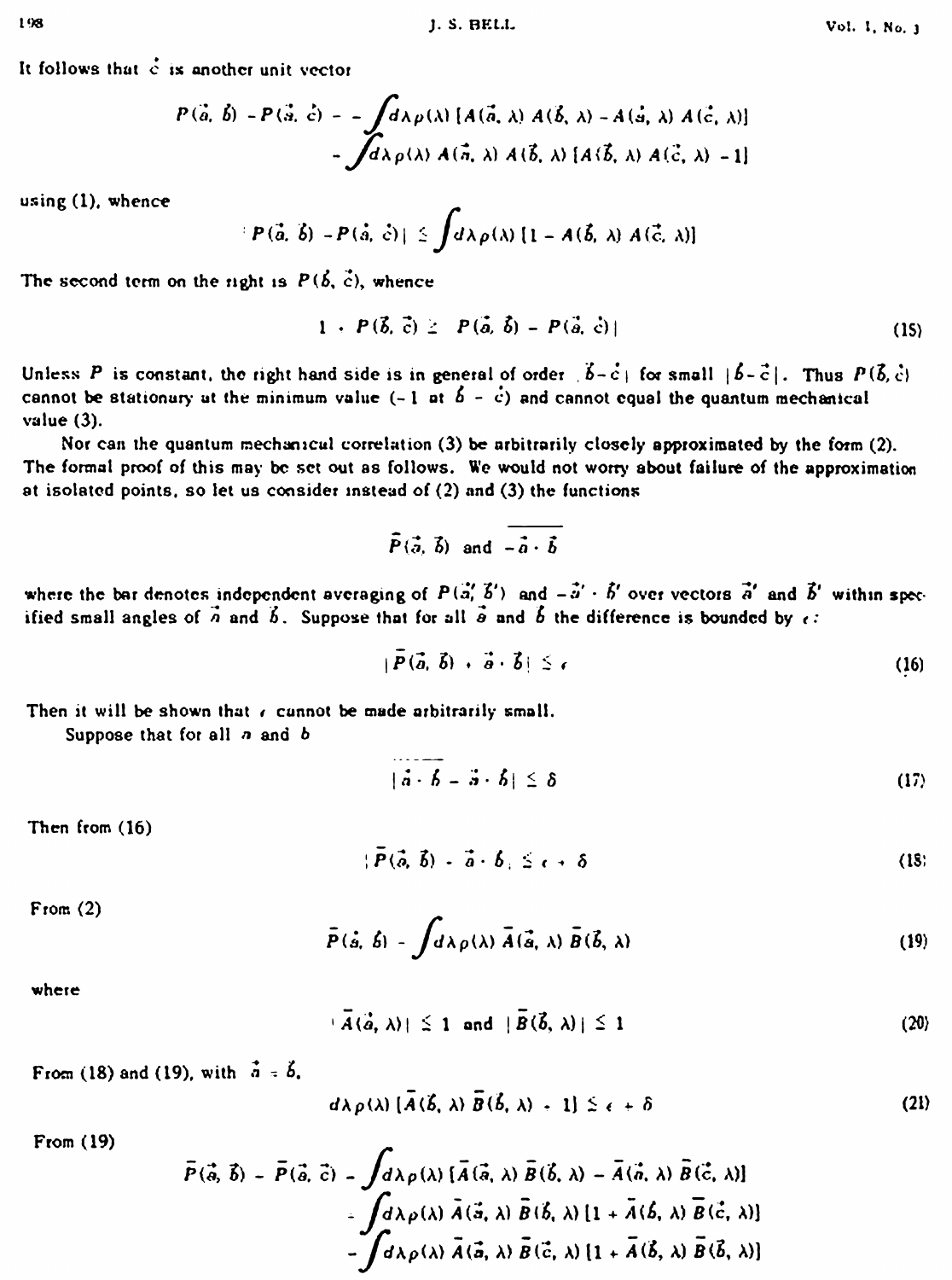It follows that  $\dot{c}$  is another unit vector

$$
P(\vec{a}, \vec{b}) = P(\vec{a}, \vec{c}) = -\int d\lambda \rho(\lambda) \left\{ A(\vec{a}, \lambda) A(\vec{b}, \lambda) - A(\vec{a}, \lambda) A(\vec{c}, \lambda) \right\} - \int d\lambda \rho(\lambda) A(\vec{a}, \lambda) A(\vec{b}, \lambda) \left\{ A(\vec{b}, \lambda) A(\vec{c}, \lambda) - 1 \right\}
$$

using (1), whence

$$
|P(\vec{a}, \vec{b}) - P(\vec{a}, \vec{c})| \le \int d\lambda \rho(\lambda) \left\{1 - A(\vec{b}, \lambda) A(\vec{c}, \lambda)\right\}
$$

The second term on the right is  $P(\vec{b}, \vec{c})$ , whence

$$
1 + P(\vec{\delta}, \vec{c}) \geq P(\vec{\delta}, \vec{\delta}) - P(\vec{\delta}, \vec{c})
$$
\n(15)

Unless P is constant, the right hand side is in general of order  $\vec{b} - \vec{c} + \vec{c}$  for small  $\vec{b} - \vec{c}$ . Thus  $P(\vec{b}, \vec{c})$ cannot be stationary at the minimum value  $(-1 \text{ at } 6 - \text{c})$  and cannot equal the quantum mechanical value (3).

Nor can the quantum mechanical correlation (3) be arbitrarily closely approximated by the form (2). The formal proof of this may be set out as follows. We would not worry about failure of the approximation at isolated points, so let us consider instead of (2) and (3) the functions

$$
\vec{P}(\vec{a}, \vec{b})
$$
 and  $-\vec{a} \cdot \vec{b}$ 

where the bar denotes independent averaging of  $P(\vec{a}', \vec{b}')$  and  $-\vec{a}' \cdot \vec{b}'$  over vectors  $\vec{a}'$  and  $\vec{b}'$  within specified small angles of  $\vec{n}$  and  $\vec{b}$ . Suppose that for all  $\vec{a}$  and  $\vec{b}$  the difference is bounded by  $\vec{c}$ :

> $|\vec{P}(\vec{a}, \vec{b}) + \vec{a} \cdot \vec{b}| \leq \epsilon$  $(16)$

Then it will be shown that  $\epsilon$  cannot be made arbitrarily small.

Suppose that for all  $n$  and  $b$ 

$$
|\vec{a} \cdot \vec{b} - \vec{s} \cdot \vec{b}| \leq \delta \tag{17}
$$

Then from (16)

$$
|\overline{P}(\vec{a}, \vec{b}) - \vec{a} \cdot \vec{b}| \leq \epsilon + \delta
$$
 (18)

 $From (2)$ 

$$
\vec{P}(\vec{a}, \vec{b}) = \int d\lambda \rho(\lambda) \, \vec{A}(\vec{a}, \lambda) \, \vec{B}(\vec{b}, \lambda) \tag{19}
$$

where

$$
|\overline{A}(\overrightarrow{a},\lambda)| \leq 1 \text{ and } |\overline{B}(\overrightarrow{b},\lambda)| \leq 1
$$
 (20)

From (18) and (19), with  $\vec{a} = \vec{b}$ ,

$$
d\lambda \rho(\lambda) \left[ \bar{A}(\vec{\delta}, \lambda) \bar{B}(\vec{\delta}, \lambda) + 1 \right] \leq \epsilon + \delta \tag{21}
$$

From (19)

$$
\overline{P}(\vec{a}, \vec{b}) = \overline{P}(\vec{a}, \vec{c}) = \int d\lambda \rho(\lambda) \left\{ \overline{A}(\vec{a}, \lambda) \overline{B}(\vec{b}, \lambda) - \overline{A}(\vec{a}, \lambda) \overline{B}(\vec{c}, \lambda) \right\}
$$

$$
= \int d\lambda \rho(\lambda) \overline{A}(\vec{a}, \lambda) \overline{B}(\vec{b}, \lambda) \left[ 1 + \overline{A}(\vec{b}, \lambda) \overline{B}(\vec{c}, \lambda) \right]
$$

$$
= \int d\lambda \rho(\lambda) \overline{A}(\vec{a}, \lambda) \overline{B}(\vec{c}, \lambda) \left[ 1 + \overline{A}(\vec{b}, \lambda) \overline{B}(\vec{b}, \lambda) \right]
$$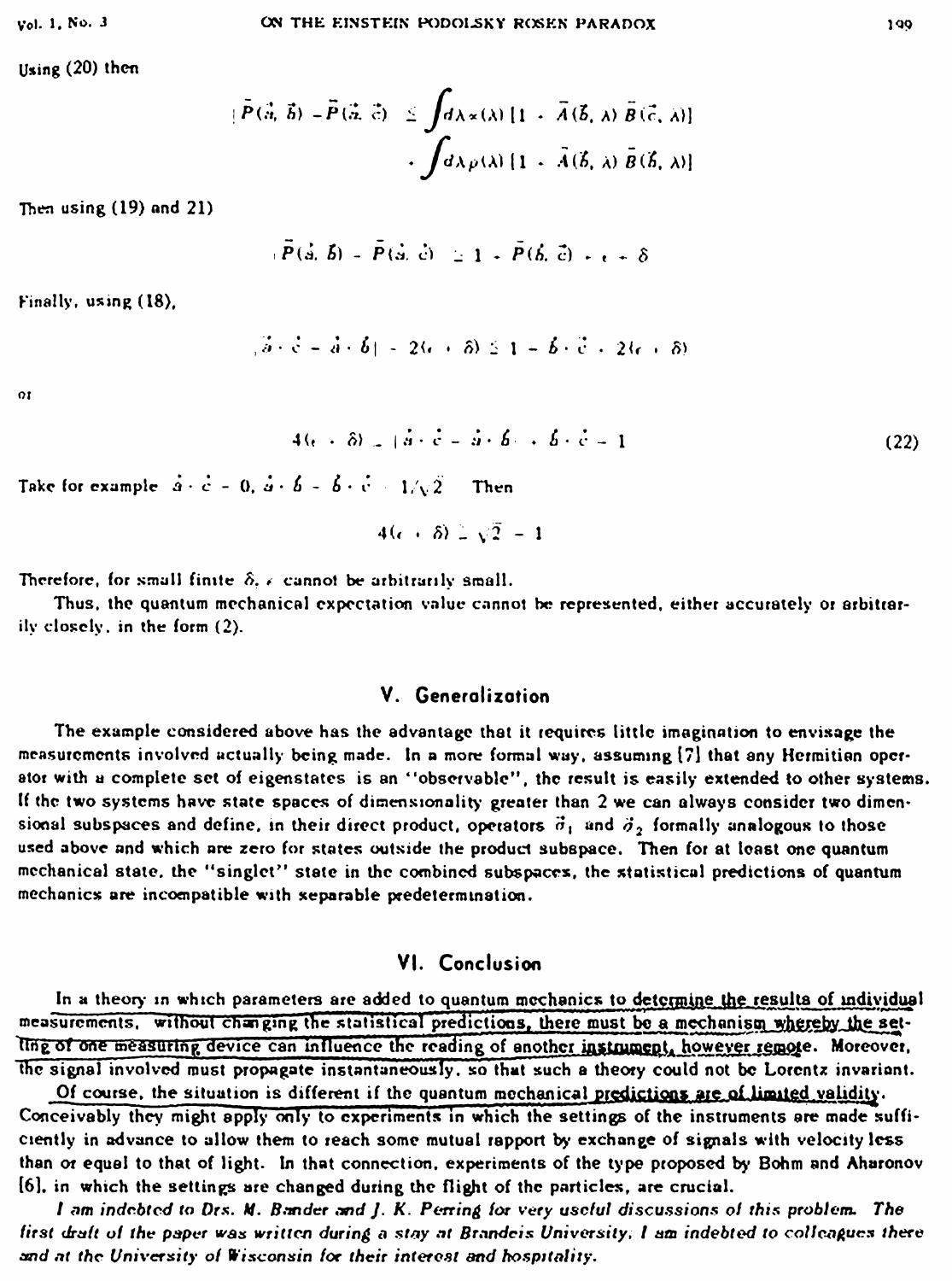Vol. 1, No. 3

Using  $(20)$  then

$$
\begin{aligned} \|\tilde{P}(\vec{a}, \vec{b}) - \tilde{P}(\vec{a}, \vec{c}) &\leq \int & d\lambda \times (\lambda) \left[ 1 + \bar{A}(\vec{b}, \lambda) \, \bar{B}(\vec{c}, \lambda) \right] \\ &\quad + \int & d\lambda \, \rho(\lambda) \left[ 1 + \bar{A}(\vec{b}, \lambda) \, \bar{B}(\vec{b}, \lambda) \right] \end{aligned}
$$

Then using  $(19)$  and  $21$ )

$$
\overrightarrow{P}(\vec{a}, \vec{b}) = \overrightarrow{P}(\vec{a}, \vec{c}) \geq 1 + \overrightarrow{P}(\vec{b}, \vec{c}) + \epsilon + \delta
$$

Finally, using (18).

$$
\left|\vec{a}\cdot\vec{c}-\vec{a}\cdot\vec{b}\right| = 2(c+\delta) \leq 1-\vec{b}\cdot\vec{c} + 2(c+\delta)
$$

 $^{\circ}$ 

 $4(b + \delta) = (a + \delta + \hat{a} + \hat{b}) + \hat{b} + \hat{c} = 1$  $(22)$ 

Take for example  $\vec{a} \cdot \vec{c} = 0$ ,  $\vec{a} \cdot \vec{b} = \vec{b} \cdot \vec{c} = 1/\sqrt{2}$ 

$$
4(\epsilon+\delta)=\sqrt{2}=1
$$

Therefore, for small finite  $\delta_i$ , cannot be arbitrarily small.

Thus, the quantum mechanical expectation value cannot be represented, either accurately or arbitrarily closely, in the form (2).

## V. Generalization

The example considered above has the advantage that it requires little imagination to envisage the measurements involved actually being made. In a more formal way, assuming [7] that any Hermitian operator with a complete set of eigenstates is an "observable", the result is easily extended to other systems. If the two systems have state spaces of dimensionality greater than 2 we can always consider two dimensional subspaces and define, in their direct product, operators  $\vec{\sigma}_1$  and  $\vec{\sigma}_2$  formally analogous to those used above and which are zero for states outside the product subspace. Then for at loast one quantum mechanical state, the "singlet" state in the combined subspaces, the statistical predictions of quantum mechanics are incompatible with separable predetermination.

#### VI. Conclusion

In a theory in which parameters are added to quantum mechanics to determine the results of individual measurements, without changing the statistical predictions, there must be a mechanism whereby the setling of one measuring device can influence the reading of another instrument, however remote. Moreover, the signal involved must propagate instantaneously, so that such a theory could not be Lorentz invariant.

Of course, the situation is different if the quantum mechanical predictions are of limited validity. Conceivably they might apply only to experiments in which the settings of the instruments are made sufficiently in advance to allow them to reach some mutual rapport by exchange of signals with velocity less than or equal to that of light. In that connection, experiments of the type proposed by Bohm and Aharonov [6], in which the settings are changed during the flight of the particles, are crucial.

I am indebted to Drs. M. Bander and J. K. Perring for very useful discussions of this problem. The first draft of the paper was written during a stay at Brandeis University, I am indebted to colleagues there and at the University of Wisconsin for their interest and hospitality.